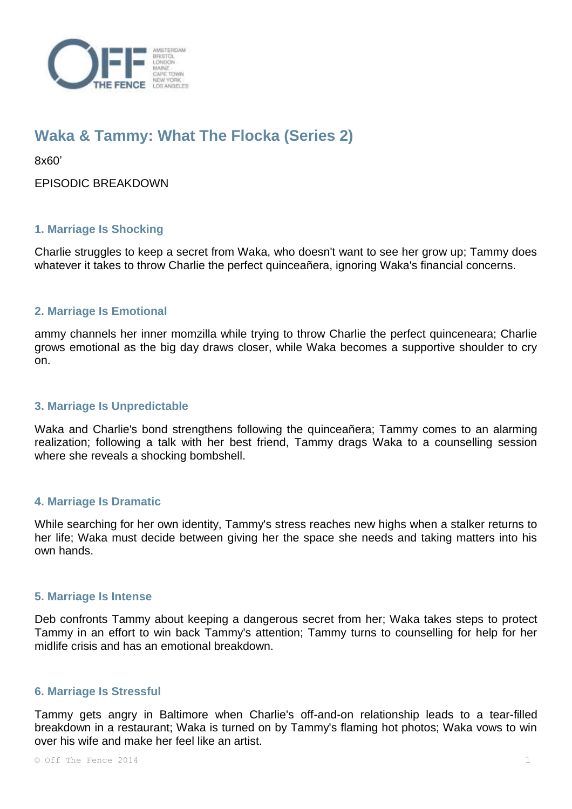

# **Waka & Tammy: What The Flocka (Series 2)**

8x60'

EPISODIC BREAKDOWN

## **1. Marriage Is Shocking**

Charlie struggles to keep a secret from Waka, who doesn't want to see her grow up; Tammy does whatever it takes to throw Charlie the perfect quinceañera, ignoring Waka's financial concerns.

## **2. Marriage Is Emotional**

ammy channels her inner momzilla while trying to throw Charlie the perfect quinceneara; Charlie grows emotional as the big day draws closer, while Waka becomes a supportive shoulder to cry on.

#### **3. Marriage Is Unpredictable**

Waka and Charlie's bond strengthens following the quinceañera; Tammy comes to an alarming realization; following a talk with her best friend, Tammy drags Waka to a counselling session where she reveals a shocking bombshell.

#### **4. Marriage Is Dramatic**

While searching for her own identity, Tammy's stress reaches new highs when a stalker returns to her life; Waka must decide between giving her the space she needs and taking matters into his own hands.

#### **5. Marriage Is Intense**

Deb confronts Tammy about keeping a dangerous secret from her; Waka takes steps to protect Tammy in an effort to win back Tammy's attention; Tammy turns to counselling for help for her midlife crisis and has an emotional breakdown.

#### **6. Marriage Is Stressful**

Tammy gets angry in Baltimore when Charlie's off-and-on relationship leads to a tear-filled breakdown in a restaurant; Waka is turned on by Tammy's flaming hot photos; Waka vows to win over his wife and make her feel like an artist.